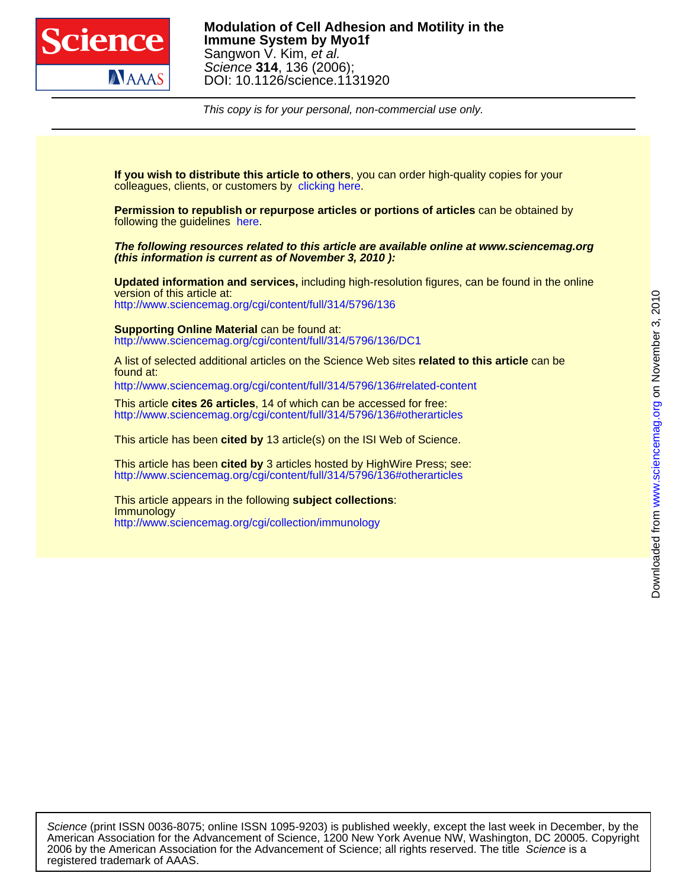

This copy is for your personal, non-commercial use only.

colleagues, clients, or customers by [clicking here.](http://www.sciencemag.org/about/permissions.dtl) **If you wish to distribute this article to others**, you can order high-quality copies for your

following the guidelines [here.](http://www.sciencemag.org/help/about/permissions.dtl) **Permission to republish or repurpose articles or portions of articles** can be obtained by

**(this information is current as of November 3, 2010 ): The following resources related to this article are available online at www.sciencemag.org**

<http://www.sciencemag.org/cgi/content/full/314/5796/136> version of this article at: **Updated information and services,** including high-resolution figures, can be found in the online

<http://www.sciencemag.org/cgi/content/full/314/5796/136/DC1> **Supporting Online Material** can be found at:

found at: A list of selected additional articles on the Science Web sites **related to this article** can be

<http://www.sciencemag.org/cgi/content/full/314/5796/136#related-content>

<http://www.sciencemag.org/cgi/content/full/314/5796/136#otherarticles> This article **cites 26 articles**, 14 of which can be accessed for free:

This article has been **cited by** 13 article(s) on the ISI Web of Science.

<http://www.sciencemag.org/cgi/content/full/314/5796/136#otherarticles> This article has been **cited by** 3 articles hosted by HighWire Press; see:

<http://www.sciencemag.org/cgi/collection/immunology> **Immunology** This article appears in the following **subject collections**:

registered trademark of AAAS. 2006 by the American Association for the Advancement of Science; all rights reserved. The title Science is a American Association for the Advancement of Science, 1200 New York Avenue NW, Washington, DC 20005. Copyright Science (print ISSN 0036-8075; online ISSN 1095-9203) is published weekly, except the last week in December, by the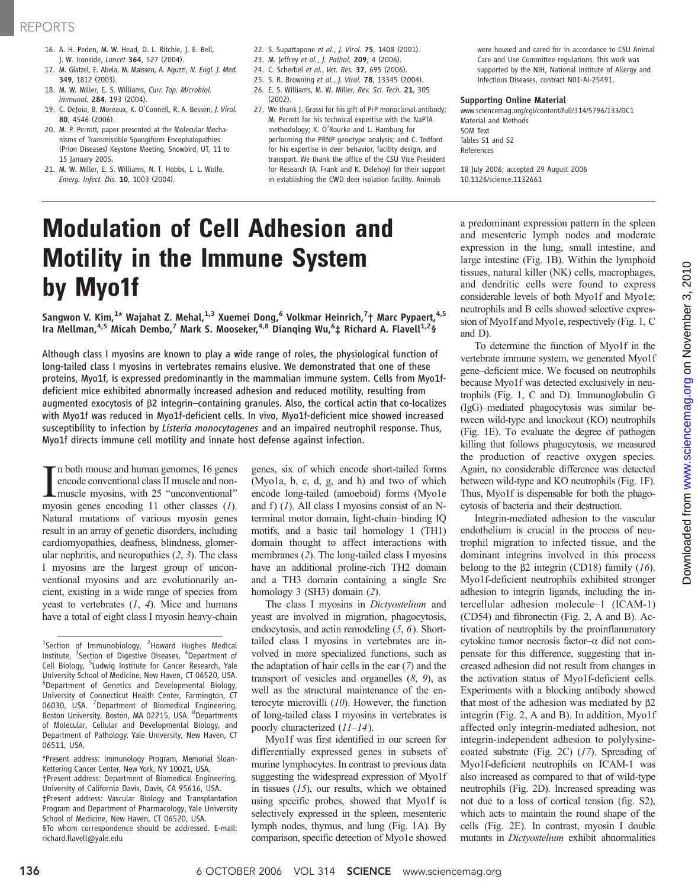# REPORTS

- 16. A. H. Peden, M. W. Head, D. L. Ritchie, J. E. Bell, J. W. Ironside, Lancet 364, 527 (2004).
- 17. M. Glatzel, E. Abela, M. Maissen, A. Aguzzi, N. Engl. J. Med. 349, 1812 (2003).
- 18. M. W. Miller, E. S. Williams, Curr. Top. Microbiol. Immunol. 284, 193 (2004).
- 19. C. DeJoia, B. Moreaux, K. O'Connell, R. A. Bessen, J. Virol. 80, 4546 (2006).
- 20. M. P. Perrott, paper presented at the Molecular Mechanisms of Transmissible Spongiform Encephalopathies (Prion Diseases) Keystone Meeting, Snowbird, UT, 11 to 15 January 2005.
- 21. M. W. Miller, E. S. Williams, N. T. Hobbs, L. L. Wolfe, Emerg. Infect. Dis. 10, 1003 (2004).
- 22. S. Supattapone et al., J. Virol. 75, 1408 (2001).
- 23. M. Jeffrey et al., J. Pathol. 209, 4 (2006).
- 24. C. Scherbel et al., Vet. Res. 37, 695 (2006).
- 25. S. R. Browning et al., J. Virol. 78, 13345 (2004).
- 26. E. S. Williams, M. W. Miller, Rev. Sci. Tech. 21, 305  $(2002)$
- 27. We thank J. Grassi for his gift of PrP monoclonal antibody; M. Perrott for his technical expertise with the NaPTA methodology; K. O'Rourke and L. Hamburg for performing the PRNP genotype analysis; and C. Tedford for his expertise in deer behavior, facility design, and transport. We thank the office of the CSU Vice President for Research (A. Frank and K. Delehoy) for their support in establishing the CWD deer isolation facility. Animals

were housed and cared for in accordance to CSU Animal Care and Use Committee regulations. This work was supported by the NIH, National Institute of Allergy and Infectious Diseases, contract N01-AI-25491.

## Supporting Online Material

www.sciencemag.org/cgi/content/full/314/5796/133/DC1 Material and Methods SOM Text Tables S1 and S2 References

18 July 2006; accepted 29 August 2006 10.1126/science.1132661

# Modulation of Cell Adhesion and Motility in the Immune System by Myo1f

Sangwon V. Kim,<sup>1</sup>\* Wajahat Z. Mehal,<sup>1,3</sup> Xuemei Dong,<sup>6</sup> Volkmar Heinrich,<sup>7</sup>† Marc Pypaert,<sup>4,5</sup> Ira Mellman,<sup>4,5</sup> Micah Dembo,<sup>7</sup> Mark S. Mooseker,<sup>4,8</sup> Dianqing Wu,<sup>6</sup>‡ Richard A. Flavell<sup>1,2</sup>§

Although class I myosins are known to play a wide range of roles, the physiological function of long-tailed class I myosins in vertebrates remains elusive. We demonstrated that one of these proteins, Myo1f, is expressed predominantly in the mammalian immune system. Cells from Myo1fdeficient mice exhibited abnormally increased adhesion and reduced motility, resulting from augmented exocytosis of b2 integrin–containing granules. Also, the cortical actin that co-localizes with Myo1f was reduced in Myo1f-deficient cells. In vivo, Myo1f-deficient mice showed increased susceptibility to infection by Listeria monocytogenes and an impaired neutrophil response. Thus, Myo1f directs immune cell motility and innate host defense against infection.

In both mouse and human genomes, 16 genes<br>encode conventional class II muscle and non-<br>muscle myosins, with 25 "unconventional"<br>myosin genes encoding 11 other classes (1). n both mouse and human genomes, 16 genes encode conventional class II muscle and nonmuscle myosins, with 25 "unconventional" Natural mutations of various myosin genes result in an array of genetic disorders, including cardiomyopathies, deafness, blindness, glomerular nephritis, and neuropathies  $(2, 3)$ . The class I myosins are the largest group of unconventional myosins and are evolutionarily ancient, existing in a wide range of species from yeast to vertebrates  $(1, 4)$ . Mice and humans have a total of eight class I myosin heavy-chain

\*Present address: Immunology Program, Memorial Sloan-Kettering Cancer Center, New York, NY 10021, USA. †Present address: Department of Biomedical Engineering, University of California Davis, Davis, CA 95616, USA. ‡Present address: Vascular Biology and Transplantation Program and Department of Pharmacology, Yale University School of Medicine, New Haven, CT 06520, USA. §To whom correspondence should be addressed. E-mail: richard.flavell@yale.edu

genes, six of which encode short-tailed forms (Myo1a, b, c, d, g, and h) and two of which encode long-tailed (amoeboid) forms (Myo1e and f)  $(1)$ . All class I myosins consist of an Nterminal motor domain, light-chain–binding IQ motifs, and a basic tail homology 1 (TH1) domain thought to affect interactions with membranes (2). The long-tailed class I myosins have an additional proline-rich TH2 domain and a TH3 domain containing a single Src homology 3 (SH3) domain (2).

The class I myosins in Dictyostelium and yeast are involved in migration, phagocytosis, endocytosis, and actin remodeling (5, 6). Shorttailed class I myosins in vertebrates are involved in more specialized functions, such as the adaptation of hair cells in the ear (7) and the transport of vesicles and organelles  $(8, 9)$ , as well as the structural maintenance of the enterocyte microvilli (10). However, the function of long-tailed class I myosins in vertebrates is poorly characterized (11–14).

Myo1f was first identified in our screen for differentially expressed genes in subsets of murine lymphocytes. In contrast to previous data suggesting the widespread expression of Myo1f in tissues  $(15)$ , our results, which we obtained using specific probes, showed that Myo1f is selectively expressed in the spleen, mesenteric lymph nodes, thymus, and lung (Fig. 1A). By comparison, specific detection of Myo1e showed a predominant expression pattern in the spleen and mesenteric lymph nodes and moderate expression in the lung, small intestine, and large intestine (Fig. 1B). Within the lymphoid tissues, natural killer (NK) cells, macrophages, and dendritic cells were found to express considerable levels of both Myo1f and Myo1e; neutrophils and B cells showed selective expression of Myo1f and Myo1e, respectively (Fig. 1, C and D).

To determine the function of Myo1f in the vertebrate immune system, we generated Myo1f gene–deficient mice. We focused on neutrophils because Myo1f was detected exclusively in neutrophils (Fig. 1, C and D). Immunoglobulin G (IgG)–mediated phagocytosis was similar between wild-type and knockout (KO) neutrophils (Fig. 1E). To evaluate the degree of pathogen killing that follows phagocytosis, we measured the production of reactive oxygen species. Again, no considerable difference was detected between wild-type and KO neutrophils (Fig. 1F). Thus, Myo1f is dispensable for both the phagocytosis of bacteria and their destruction.

Integrin-mediated adhesion to the vascular endothelium is crucial in the process of neutrophil migration to infected tissue, and the dominant integrins involved in this process belong to the  $\beta$ 2 integrin (CD18) family (16). Myo1f-deficient neutrophils exhibited stronger adhesion to integrin ligands, including the intercellular adhesion molecule–1 (ICAM-1) (CD54) and fibronectin (Fig. 2, A and B). Activation of neutrophils by the proinflammatory cytokine tumor necrosis factor- $\alpha$  did not compensate for this difference, suggesting that increased adhesion did not result from changes in the activation status of Myo1f-deficient cells. Experiments with a blocking antibody showed that most of the adhesion was mediated by  $\beta$ 2 integrin (Fig. 2, A and B). In addition, Myo1f affected only integrin-mediated adhesion, not integrin-independent adhesion to polylysinecoated substrate (Fig. 2C) (17). Spreading of Myo1f-deficient neutrophils on ICAM-1 was also increased as compared to that of wild-type neutrophils (Fig. 2D). Increased spreading was not due to a loss of cortical tension (fig. S2), which acts to maintain the round shape of the cells (Fig. 2E). In contrast, myosin I double mutants in Dictyostelium exhibit abnormalities

<sup>&</sup>lt;sup>1</sup>Section of Immunobiology, <sup>2</sup>Howard Hughes Medical Institute, <sup>3</sup>Section of Digestive Diseases, <sup>4</sup>Department of Cell Biology, <sup>5</sup>Ludwig Institute for Cancer Research, Yale University School of Medicine, New Haven, CT 06520, USA. 6 Department of Genetics and Developmental Biology, University of Connecticut Health Center, Farmington, CT 06030, USA. <sup>7</sup>Department of Biomedical Engineering, Boston University, Boston, MA 02215, USA. <sup>8</sup>Departments of Molecular, Cellular and Developmental Biology, and Department of Pathology, Yale University, New Haven, CT 06511, USA.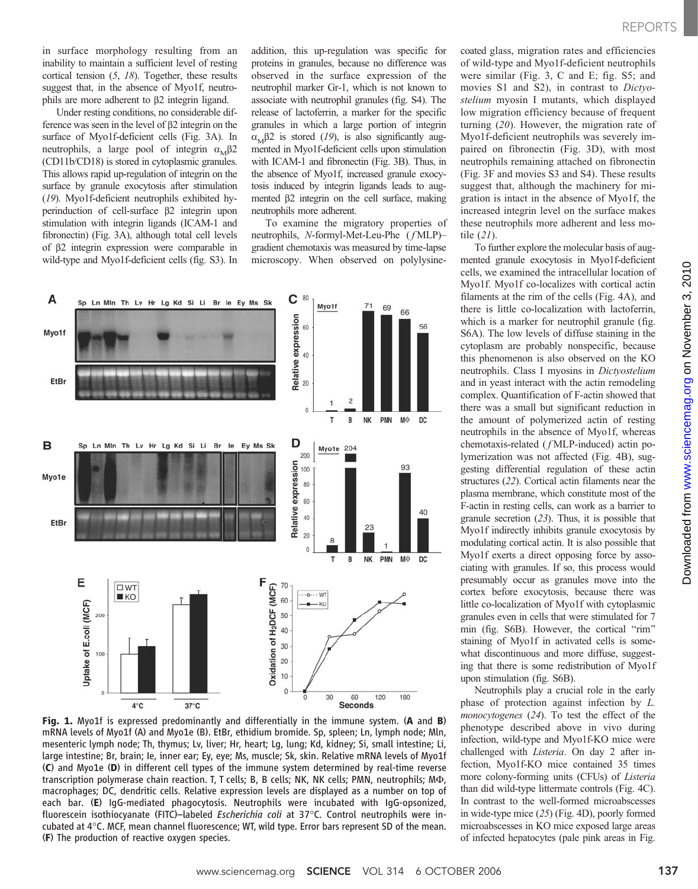in surface morphology resulting from an inability to maintain a sufficient level of resting cortical tension  $(5, 18)$ . Together, these results suggest that, in the absence of Myo1f, neutrophils are more adherent to  $\beta$ 2 integrin ligand.

Under resting conditions, no considerable difference was seen in the level of  $\beta$ 2 integrin on the surface of Myo1f-deficient cells (Fig. 3A). In neutrophils, a large pool of integrin  $\alpha_{\text{M}}\beta$ 2 (CD11b/CD18) is stored in cytoplasmic granules. This allows rapid up-regulation of integrin on the surface by granule exocytosis after stimulation (19). Myo1f-deficient neutrophils exhibited hyperinduction of cell-surface  $\beta$ 2 integrin upon stimulation with integrin ligands (ICAM-1 and fibronectin) (Fig. 3A), although total cell levels of b2 integrin expression were comparable in wild-type and Myo1f-deficient cells (fig. S3). In

addition, this up-regulation was specific for proteins in granules, because no difference was observed in the surface expression of the neutrophil marker Gr-1, which is not known to associate with neutrophil granules (fig. S4). The release of lactoferrin, a marker for the specific granules in which a large portion of integrin  $\alpha_{\text{M}}\beta$ 2 is stored (19), is also significantly augmented in Myo1f-deficient cells upon stimulation with ICAM-1 and fibronectin (Fig. 3B). Thus, in the absence of Myo1f, increased granule exocytosis induced by integrin ligands leads to augmented  $\beta$ 2 integrin on the cell surface, making neutrophils more adherent.

To examine the migratory properties of neutrophils, N-formyl-Met-Leu-Phe ( $fMLP$ )gradient chemotaxis was measured by time-lapse microscopy. When observed on polylysine-



Fig. 1. Myo1f is expressed predominantly and differentially in the immune system. (A and B) mRNA levels of Myo1f (A) and Myo1e (B). EtBr, ethidium bromide. Sp, spleen; Ln, lymph node; Mln, mesenteric lymph node; Th, thymus; Lv, liver; Hr, heart; Lg, lung; Kd, kidney; Si, small intestine; Li, large intestine; Br, brain; Ie, inner ear; Ey, eye; Ms, muscle; Sk, skin. Relative mRNA levels of Myo1f (C) and Myo1e (D) in different cell types of the immune system determined by real-time reverse transcription polymerase chain reaction. T, T cells; B, B cells; NK, NK cells; PMN, neutrophils; M $\Phi$ , macrophages; DC, dendritic cells. Relative expression levels are displayed as a number on top of each bar. (E) IgG-mediated phagocytosis. Neutrophils were incubated with IgG-opsonized, fluorescein isothiocyanate (FITC)-labeled Escherichia coli at 37°C. Control neutrophils were incubated at 4°C. MCF, mean channel fluorescence; WT, wild type. Error bars represent SD of the mean. (F) The production of reactive oxygen species.

coated glass, migration rates and efficiencies of wild-type and Myo1f-deficient neutrophils were similar (Fig. 3, C and E; fig. S5; and movies S1 and S2), in contrast to Dictyostelium myosin I mutants, which displayed low migration efficiency because of frequent turning (20). However, the migration rate of Myo1f-deficient neutrophils was severely impaired on fibronectin (Fig. 3D), with most neutrophils remaining attached on fibronectin (Fig. 3F and movies S3 and S4). These results suggest that, although the machinery for migration is intact in the absence of Myo1f, the increased integrin level on the surface makes these neutrophils more adherent and less motile (21).

To further explore the molecular basis of augmented granule exocytosis in Myo1f-deficient cells, we examined the intracellular location of Myo1f. Myo1f co-localizes with cortical actin filaments at the rim of the cells (Fig. 4A), and there is little co-localization with lactoferrin, which is a marker for neutrophil granule (fig. S6A). The low levels of diffuse staining in the cytoplasm are probably nonspecific, because this phenomenon is also observed on the KO neutrophils. Class I myosins in Dictyostelium and in yeast interact with the actin remodeling complex. Quantification of F-actin showed that there was a small but significant reduction in the amount of polymerized actin of resting neutrophils in the absence of Myo1f, whereas chemotaxis-related ( fMLP-induced) actin polymerization was not affected (Fig. 4B), suggesting differential regulation of these actin structures (22). Cortical actin filaments near the plasma membrane, which constitute most of the F-actin in resting cells, can work as a barrier to granule secretion (23). Thus, it is possible that Myo1f indirectly inhibits granule exocytosis by modulating cortical actin. It is also possible that Myo1f exerts a direct opposing force by associating with granules. If so, this process would presumably occur as granules move into the cortex before exocytosis, because there was little co-localization of Myo1f with cytoplasmic granules even in cells that were stimulated for 7 min (fig. S6B). However, the cortical "rim" staining of Myo1f in activated cells is somewhat discontinuous and more diffuse, suggesting that there is some redistribution of Myo1f upon stimulation (fig. S6B).

Neutrophils play a crucial role in the early phase of protection against infection by L. monocytogenes (24). To test the effect of the phenotype described above in vivo during infection, wild-type and Myo1f-KO mice were challenged with *Listeria*. On day 2 after infection, Myo1f-KO mice contained 35 times more colony-forming units (CFUs) of Listeria than did wild-type littermate controls (Fig. 4C). In contrast to the well-formed microabscesses in wide-type mice (25) (Fig. 4D), poorly formed microabscesses in KO mice exposed large areas of infected hepatocytes (pale pink areas in Fig.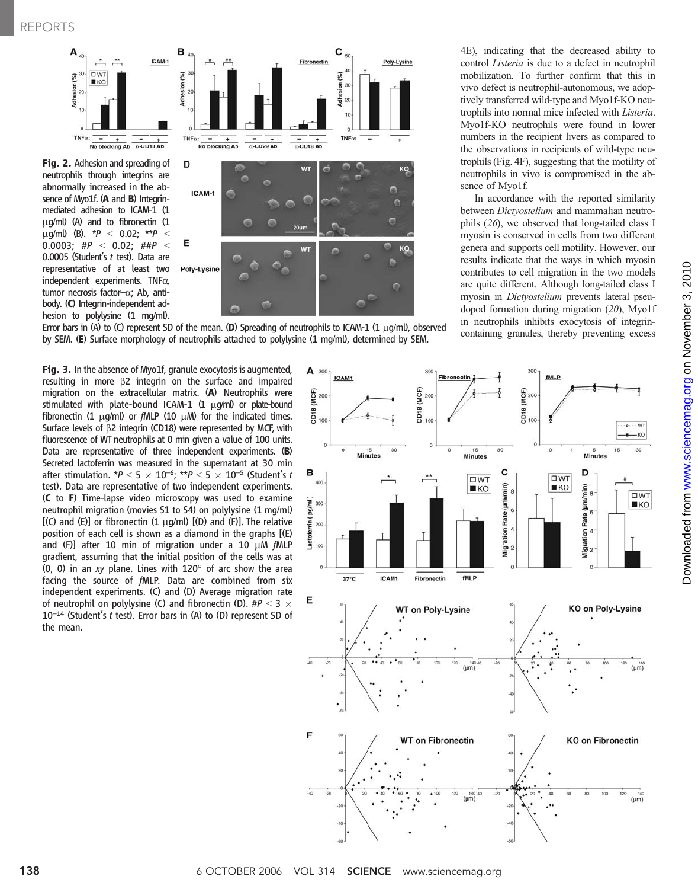REPORTS



Fig. 2. Adhesion and spreading of neutrophils through integrins are abnormally increased in the absence of Myo1f. (A and B) Integrinmediated adhesion to ICAM-1 (1  $\mu$ g/ml) (A) and to fibronectin (1  $\mu$ g/ml) (B). \* $P < 0.02$ ; \*\* $P$ 0.0003; #P < 0.02; ##P < 0.0005 (Student's  $t$  test). Data are representative of at least two independent experiments. TNFa, tumor necrosis factor- $\alpha$ ; Ab, antibody. (C) Integrin-independent adhesion to polylysine (1 mg/ml).



Error bars in (A) to (C) represent SD of the mean. (D) Spreading of neutrophils to ICAM-1 (1  $\mu$ g/ml), observed by SEM. (E) Surface morphology of neutrophils attached to polylysine (1 mg/ml), determined by SEM.

4E), indicating that the decreased ability to control Listeria is due to a defect in neutrophil mobilization. To further confirm that this in vivo defect is neutrophil-autonomous, we adoptively transferred wild-type and Myo1f-KO neutrophils into normal mice infected with Listeria. Myo1f-KO neutrophils were found in lower numbers in the recipient livers as compared to the observations in recipients of wild-type neutrophils (Fig. 4F), suggesting that the motility of neutrophils in vivo is compromised in the absence of Myo1f.

In accordance with the reported similarity between Dictyostelium and mammalian neutrophils (26), we observed that long-tailed class I myosin is conserved in cells from two different genera and supports cell motility. However, our results indicate that the ways in which myosin contributes to cell migration in the two models are quite different. Although long-tailed class I myosin in Dictyostelium prevents lateral pseudopod formation during migration (20), Myo1f in neutrophils inhibits exocytosis of integrincontaining granules, thereby preventing excess

Fig. 3. In the absence of Myo1f, granule exocytosis is augmented, resulting in more  $\beta$ 2 integrin on the surface and impaired migration on the extracellular matrix. (A) Neutrophils were stimulated with plate-bound ICAM-1  $(1 \mu g/m)$  or plate-bound fibronectin (1  $\mu$ g/ml) or fMLP (10  $\mu$ M) for the indicated times. Surface levels of  $\beta$ 2 integrin (CD18) were represented by MCF, with fluorescence of WT neutrophils at 0 min given a value of 100 units. Data are representative of three independent experiments. (B) Secreted lactoferrin was measured in the supernatant at 30 min after stimulation. \* $P < 5 \times 10^{-6}$ ; \*\* $P < 5 \times 10^{-5}$  (Student's t test). Data are representative of two independent experiments. (C to F) Time-lapse video microscopy was used to examine neutrophil migration (movies S1 to S4) on polylysine (1 mg/ml)  $[(C)$  and  $(E)]$  or fibronectin  $(1 \mu g/ml)$   $[(D)$  and  $(F)]$ . The relative position of each cell is shown as a diamond in the graphs [(E) and (F)] after 10 min of migration under a 10  $\mu$ M fMLP gradient, assuming that the initial position of the cells was at  $(0, 0)$  in an xy plane. Lines with 120 $\degree$  of arc show the area facing the source of fMLP. Data are combined from six independent experiments. (C) and (D) Average migration rate of neutrophil on polylysine (C) and fibronectin (D).  $\#P < 3 \times$  $10^{-14}$  (Student's t test). Error bars in (A) to (D) represent SD of the mean.